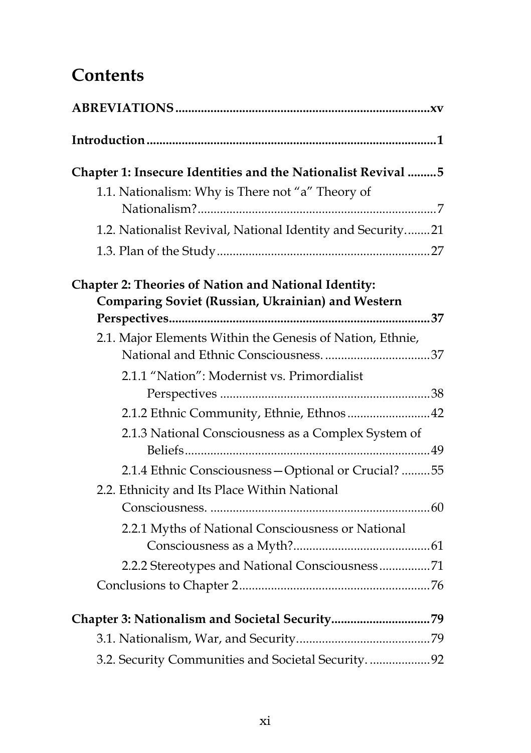## **Contents**

| Chapter 1: Insecure Identities and the Nationalist Revival 5                                                     |
|------------------------------------------------------------------------------------------------------------------|
| 1.1. Nationalism: Why is There not "a" Theory of                                                                 |
| 1.2. Nationalist Revival, National Identity and Security21                                                       |
|                                                                                                                  |
| <b>Chapter 2: Theories of Nation and National Identity:</b><br>Comparing Soviet (Russian, Ukrainian) and Western |
| 2.1. Major Elements Within the Genesis of Nation, Ethnie,                                                        |
|                                                                                                                  |
| 2.1.1 "Nation": Modernist vs. Primordialist                                                                      |
|                                                                                                                  |
| 2.1.2 Ethnic Community, Ethnie, Ethnos 42                                                                        |
| 2.1.3 National Consciousness as a Complex System of                                                              |
| 2.1.4 Ethnic Consciousness - Optional or Crucial? 55                                                             |
| 2.2. Ethnicity and Its Place Within National                                                                     |
|                                                                                                                  |
| 2.2.1 Myths of National Consciousness or National                                                                |
|                                                                                                                  |
| 2.2.2 Stereotypes and National Consciousness71                                                                   |
|                                                                                                                  |
|                                                                                                                  |
|                                                                                                                  |
| 3.2. Security Communities and Societal Security. 92                                                              |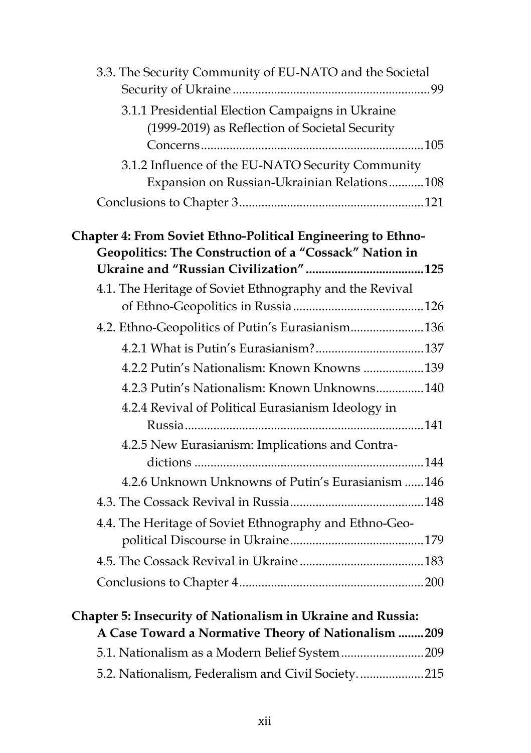| 3.3. The Security Community of EU-NATO and the Societal      |  |
|--------------------------------------------------------------|--|
| 3.1.1 Presidential Election Campaigns in Ukraine             |  |
| (1999-2019) as Reflection of Societal Security               |  |
|                                                              |  |
| 3.1.2 Influence of the EU-NATO Security Community            |  |
| Expansion on Russian-Ukrainian Relations108                  |  |
|                                                              |  |
| Chapter 4: From Soviet Ethno-Political Engineering to Ethno- |  |
| Geopolitics: The Construction of a "Cossack" Nation in       |  |
|                                                              |  |
| 4.1. The Heritage of Soviet Ethnography and the Revival      |  |
|                                                              |  |
| 4.2. Ethno-Geopolitics of Putin's Eurasianism 136            |  |
|                                                              |  |
| 4.2.2 Putin's Nationalism: Known Knowns 139                  |  |
| 4.2.3 Putin's Nationalism: Known Unknowns140                 |  |
| 4.2.4 Revival of Political Eurasianism Ideology in           |  |
|                                                              |  |
| 4.2.5 New Eurasianism: Implications and Contra-              |  |
|                                                              |  |
| 4.2.6 Unknown Unknowns of Putin's Eurasianism 146            |  |
|                                                              |  |
| 4.4. The Heritage of Soviet Ethnography and Ethno-Geo-       |  |
|                                                              |  |
|                                                              |  |
|                                                              |  |
| Chapter 5: Insecurity of Nationalism in Ukraine and Russia:  |  |
| A Case Toward a Normative Theory of Nationalism  209         |  |
| 5.1. Nationalism as a Modern Belief System 209               |  |
| 5.2. Nationalism, Federalism and Civil Society215            |  |